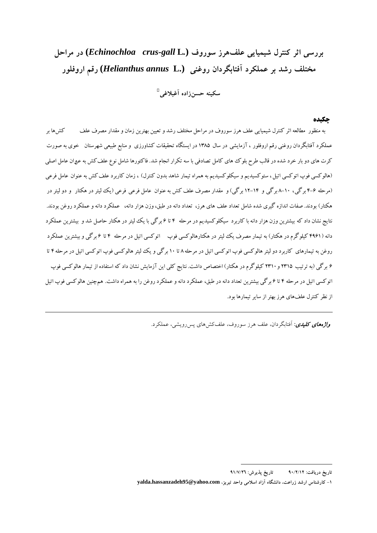**بررسي اثر كنترل شيميايي علفهرز سوروف (***.***L** *gall-crus Echinochloa* **(در مراحل مختلف رشد بر عملكرد آفتابگردان روغني (.L** *annus Helianthus* **(رقم اروفلور**

**� سكينه حسنزاده آغبلاغي***F0P*

## **چكيده**

 به منظور مطالعه اثر كنترل شيميايي علف هرز سوروف در مراحل مختلف رشد و تعيين بهترين زمان و مقدار مصرف علف كشها بر عملكرد آفتابگردان روغني رقم اروفلور ، آزمايشي در سال 1385 در ايستگاه تحقيقات كشاورزي و منابع طبيعي شهرستان خوي به صورت كرت هاي دو بار خرد شده در قالب طرح بلوك هاي كامل تصادفي با سه تكرار انجام شد. فاكتورها شامل نوع علفكش به عنوان عامل اصلي (هالوكسي فوپ اتوكسي اتيل، ستوكسيديم و سيكلوكسيديم به همراه تيمار شاهد بدون كنترل) ، زمان كاربرد علفكش به عنوان عامل فرعي (مرحله 4-6 برگي، 8-10 برگي و 12-14 برگي)و مقدار مصرف علف كش به عنوان عامل فرعي فرعي (يك ليتر در هكتار و دو ليتر در هكتار) بودند. صفات اندازه گيري شده شامل تعداد علف هاي هرز، تعداد دانه در طبق، وزن هزار دانه، عملكرد دانه و عملكرد روغن بودند. نتايج نشان داد كه بيشترين وزن هزار دانه با كاربرد سيكلوكسيديم در مرحله 4 تا 6 برگي با يك ليتر در هكتار حاصل شد و بيشترين عملكرد دانه (4961 كيلوگرم در هكتار) به تيمار مصرف يك ليتر در هكتارهالوكسي فوپ اتوكسي اتيل در مرحله 4 تا 6 برگي و بيشترين عملكرد روغن به تيمارهاي كاربرد دو ليتر هالوكسي فوپ اتوكسي اتيل در مرحله 8 تا 10 برگي و يك ليتر هالوكسي فوپ اتوكسي اتيل در مرحله 4 تا 6 برگي (به ترتيب 2315 و2310 كيلوگرم در هكتار) اختصاص داشت. نتايج كلي اين آزمايش نشان داد كه استفاده از تيمار هالوكسي فوپ اتوكسي اتيل در مرحله 4 تا 6 برگي بيشترين تعداد دانه در طبق، عملكرد دانه و عملكرد روغن را به همراه داشت. همچنين هالوكسي فوپ اتيل از نظر كنترل علفهاي هرز بهتر از ساير تيمارها بود.

واژه هاي كليدي**:** آفتابگردان، علف هرز سوروف، علف كش هاي پس رويشي، عملكرد.

<u>.</u>

**تاريخ دريافت: 90/2/12 تاريخ پذيرش: 91/7/26**

**<sup>-1</sup> كارشناس ارشد زراعت، دانشگاه آزاد اسلامي واحد تبريز، com.yahoo@95hassanzadeh.yalda**